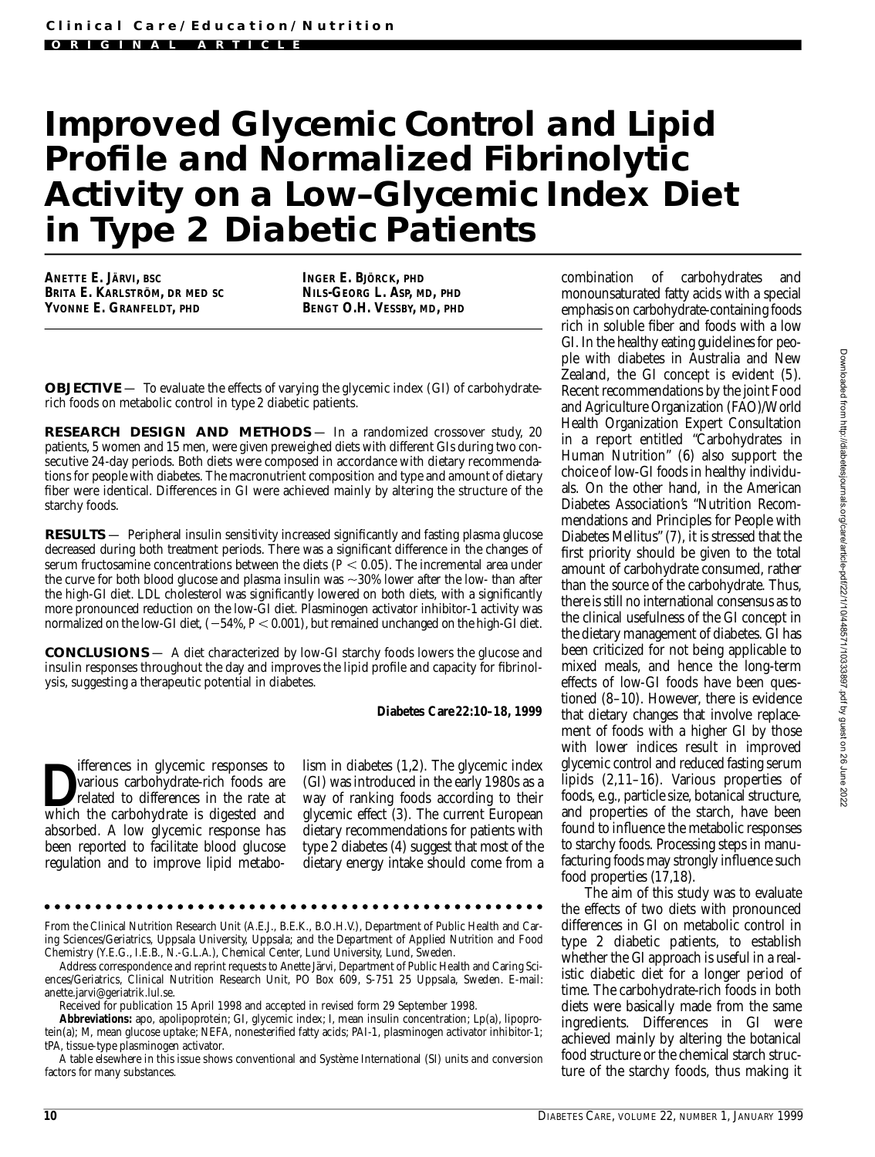# **Improved Glycemic Control and Lipid Profile and Normalized Fibrinolytic Activity on a Low–Glycemic Index Diet in Type 2 Diabetic Patients**

**ANETTE E. JÄRVI, BSC BRITA E. KARLSTRÖM, DR MED SC YVONNE E. GRANFELDT, PHD**

**INGER E. BJÖRCK, PHD NILS-GEORG L. ASP, MD, PHD BENGT O.H. VESSBY, MD, PHD**

**OBJECTIVE** — To evaluate the effects of varying the glycemic index (GI) of carbohydraterich foods on metabolic control in type 2 diabetic patients.

**RESEARCH DESIGN AND METHODS** — In a randomized crossover study, 20 patients, 5 women and 15 men, were given preweighed diets with different GIs during two consecutive 24-day periods. Both diets were composed in accordance with dietary recommendations for people with diabetes. The macronutrient composition and type and amount of dietary fiber were identical. Differences in GI were achieved mainly by altering the structure of the starchy foods.

**RESULTS** — Peripheral insulin sensitivity increased significantly and fasting plasma glucose decreased during both treatment periods. There was a significant difference in the changes of serum fructosamine concentrations between the diets ( $P < 0.05$ ). The incremental area under the curve for both blood glucose and plasma insulin was  $\sim$ 30% lower after the low- than after the high-GI diet. LDL cholesterol was significantly lowered on both diets, with a significantly more pronounced reduction on the low-GI diet. Plasminogen activator inhibitor-1 activity was normalized on the low-GI diet,  $(-54\%, P < 0.001)$ , but remained unchanged on the high-GI diet.

**CONCLUSIONS** — A diet characterized by low-GI starchy foods lowers the glucose and insulin responses throughout the day and improves the lipid profile and capacity for fibrinolysis, suggesting a therapeutic potential in diabetes.

#### *Diabetes Care***22:10–18, 1999**

**D**ifferences in glycemic responses to
various carbohydrate-rich foods are
related to differences in the rate at
which the carbohydrate is digested and ifferences in glycemic responses to various carbohydrate-rich foods are related to differences in the rate at absorbed. A low glycemic response has been reported to facilitate blood glucose regulation and to improve lipid metabo-

lism in diabetes (1,2). The glycemic index (GI) was introduced in the early 1980s as a way of ranking foods according to their glycemic effect (3). The current European dietary recommendations for patients with type 2 diabetes (4) suggest that most of the dietary energy intake should come from a

From the Clinical Nutrition Research Unit (A.E.J., B.E.K., B.O.H.V.), Department of Public Health and Caring Sciences/Geriatrics, Uppsala University, Uppsala; and the Department of Applied Nutrition and Food Chemistry (Y.E.G., I.E.B., N.-G.L.A.), Chemical Center, Lund University, Lund, Sweden.

Address correspondence and reprint requests to Anette Järvi, Department of Public Health and Caring Sciences/Geriatrics, Clinical Nutrition Research Unit, PO Box 609, S-751 25 Uppsala, Sweden. E-mail: anette.jarvi@geriatrik.lul.se.

Received for publication 15 April 1998 and accepted in revised form 29 September 1998.

Abbreviations: apo, apolipoprotein; GI, glycemic index; *I*, mean insulin concentration; Lp(a), lipoprotein(a); *M*, mean glucose uptake; NEFA, nonesterified fatty acids; PAI-1, plasminogen activator inhibitor-1; t PA, tissue-type plasminogen activator.

A table elsewhere in this issue shows conventional and Système International (SI) units and conversion factors for many substances.

combination of carbohydrates and monounsaturated fatty acids with a special emphasis on carbohydrate-containing foods rich in soluble fiber and foods with a low GI. In the healthy eating guidelines for people with diabetes in Australia and New Zealand, the GI concept is evident (5). Recent recommendations by the joint Food and Agriculture Organization (FAO)/World Health Organization Expert Consultation in a report entitled "Carbohydrates in Human Nutrition" (6) also support the choice of low-GI foods in healthy individuals. On the other hand, in the American Diabetes Association's "Nutrition Recommendations and Principles for People with Diabetes Mellitus" (7), it is stressed that the first priority should be given to the total amount of carbohydrate consumed, rather than the source of the carbohydrate. Thus, there is still no international consensus as to the clinical usefulness of the GI concept in the dietary management of diabetes. GI has been criticized for not being applicable to mixed meals, and hence the long-term e ffects of low-GI foods have been questioned (8–10). However, there is evidence that dietary changes that involve replacement of foods with a higher GI by those with lower indices result in improved glycemic control and reduced fasting serum lipids  $(2,11-16)$ . Various properties of foods, e.g., particle size, botanical structure, and properties of the starch, have been found to influence the metabolic responses to starchy foods. Processing steps in manufacturing foods may strongly influence such food properties  $(17,18)$ .

The aim of this study was to evaluate the effects of two diets with pronounced differences in GI on metabolic control in type 2 diabetic patients, to establish whether the GI approach is useful in a realistic diabetic diet for a longer period of time. The carbohydrate-rich foods in both diets were basically made from the same ingredients. Differences in GI were achieved mainly by altering the botanical food structure or the chemical starch structure of the starchy foods, thus making it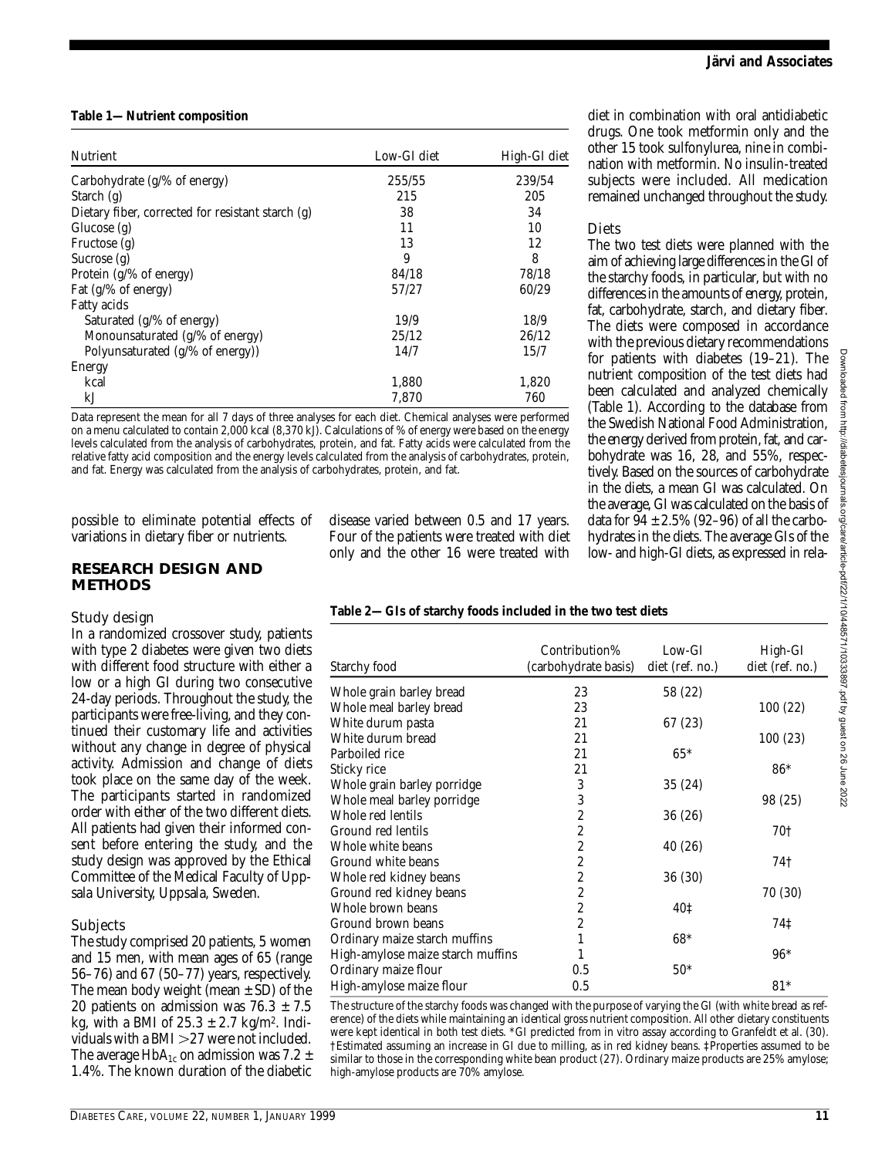# **Table 1—***Nutrient composition*

| Nutrient                                          | Low-GI diet | High-GI diet |
|---------------------------------------------------|-------------|--------------|
| Carbohydrate (g/% of energy)                      | 255/55      | 239/54       |
| Starch $(g)$                                      | 215         | 205          |
| Dietary fiber, corrected for resistant starch (g) | 38          | 34           |
| Glucose $(g)$                                     | 11          | 10           |
| Fructose $(g)$                                    | 13          | 12           |
| Sucrose $(g)$                                     | 9           | 8            |
| Protein (g/% of energy)                           | 84/18       | 78/18        |
| Fat (g/% of energy)                               | 57/27       | 60/29        |
| Fatty acids                                       |             |              |
| Saturated (g/% of energy)                         | 19/9        | 18/9         |
| Monounsaturated (g/% of energy)                   | 25/12       | 26/12        |
| Polyunsaturated (g/% of energy))                  | 14/7        | 15/7         |
| Energy                                            |             |              |
| kcal                                              | 1,880       | 1,820        |
| kJ                                                | 7,870       | 760          |

Data represent the mean for all 7 days of three analyses for each diet. Chemical analyses were performed on a menu calculated to contain 2,000 kcal (8,370 kJ). Calculations of % of energy were based on the energy levels calculated from the analysis of carbohydrates, protein, and fat. Fatty acids were calculated from the relative fatty acid composition and the energy levels calculated from the analysis of carbohydrates, protein, and fat. Energy was calculated from the analysis of carbohydrates, protein, and fat.

possible to eliminate potential effects of variations in dietary fiber or nutrients.

## **RESEARCH DESIGN AND METHODS**

# Study design

In a randomized crossover study, patients with type 2 diabetes were given two diets with different food structure with either a low or a high GI during two consecutive 24-day periods. Throughout the study, the participants were free-living, and they continued their customary life and activities without any change in degree of physical activity. Admission and change of diets took place on the same day of the week. The participants started in randomized order with either of the two different diets. All patients had given their informed consent before entering the study, and the study design was approved by the Ethical Committee of the Medical Faculty of Uppsala University, Uppsala, Sweden.

# Subjects

The study comprised 20 patients, 5 women and 15 men, with mean ages of 65 (range  $56-76$ ) and  $67$   $(50-77)$  years, respectively. The mean body weight (mean  $\pm$  SD) of the 20 patients on admission was  $76.3 \pm 7.5$ kg, with a BMI of  $25.3 \pm 2.7$  kg/m<sup>2</sup>. Individuals with a BMI 27 were not included. The average  $HbA_{1c}$  on admission was 7.2  $\pm$ 1.4%. The known duration of the diabetic disease varied between 0.5 and 17 years. Four of the patients were treated with diet only and the other 16 were treated with

| diet in combination with oral antidiabetic |
|--------------------------------------------|
| drugs. One took metformin only and the     |
| other 15 took sulfonylurea, nine in combi- |
| nation with metformin. No insulin-treated  |
| subjects were included. All medication     |
| remained unchanged throughout the study.   |

# **Diets**

The two test diets were planned with the aim of achieving large differences in the GI of the starchy foods, in particular, but with no differences in the amounts of energy, protein, fat, carbohydrate, starch, and dietary fiber. The diets were composed in accordance with the previous dietary recommendations for patients with diabetes (19–21). The nutrient composition of the test diets had been calculated and analyzed chemically (Table 1). According to the database from the Swedish National Food Administration, the energy derived from protein, fat, and carbohydrate was  $16$ ,  $28$ , and  $55\%$ , respectively. Based on the sources of carbohydrate in the diets, a mean GI was calculated. On the average, GI was calculated on the basis of data for  $94 \pm 2.5\%$  (92–96) of all the carbohydrates in the diets. The average GIs of the low- and high-GI diets, as expressed in rela-

| Starchy food                      | Contribution%<br>(carbohydrate basis) | $Low-GI$<br>diet (ref. no.) | High-GI<br>diet (ref. no.) |
|-----------------------------------|---------------------------------------|-----------------------------|----------------------------|
| Whole grain barley bread          | 23                                    | 58 (22)                     |                            |
| Whole meal barley bread           | 23                                    |                             | 100 (22)                   |
| White durum pasta                 | 21                                    | 67 (23)                     |                            |
| White durum bread                 | 21                                    |                             | 100(23)                    |
| Parboiled rice                    | 21                                    | $65*$                       |                            |
| Sticky rice                       | 21                                    |                             | $86*$                      |
| Whole grain barley porridge       | 3                                     | 35 (24)                     |                            |
| Whole meal barley porridge        | 3                                     |                             | 98 (25)                    |
| Whole red lentils                 | $\boldsymbol{2}$                      | 36 (26)                     |                            |
| Ground red lentils                | $\overline{c}$                        |                             | 70†                        |
| Whole white beans                 | $\overline{c}$                        | 40 (26)                     |                            |
| Ground white beans                | $\overline{c}$                        |                             | 74†                        |
| Whole red kidney beans            | $\boldsymbol{2}$                      | 36 (30)                     |                            |
| Ground red kidney beans           | 2                                     |                             | 70 (30)                    |
| Whole brown beans                 | $\overline{c}$                        | 40‡                         |                            |
| Ground brown beans                | $\overline{c}$                        |                             | 74‡                        |
| Ordinary maize starch muffins     | $\mathbf{1}$                          | 68*                         |                            |
| High-amylose maize starch muffins | 1                                     |                             | 96*                        |
| Ordinary maize flour              | 0.5                                   | $50*$                       |                            |
| High-amylose maize flour          | 0.5                                   |                             | $81*$                      |

The structure of the starchy foods was changed with the purpose of varying the GI (with white bread as refe rence) of the diets while maintaining an identical gross nutrient composition. All other dietary constituents were kept identical in both test diets. \*GI predicted from in vitro assay according to Granfeldt et al. (30). †Estimated assuming an increase in GI due to milling, as in red kidney beans. ‡Properties assumed to be similar to those in the corresponding white bean product (27). Ordinary maize products are 25% amylose; high-amylose products are 70% amylose.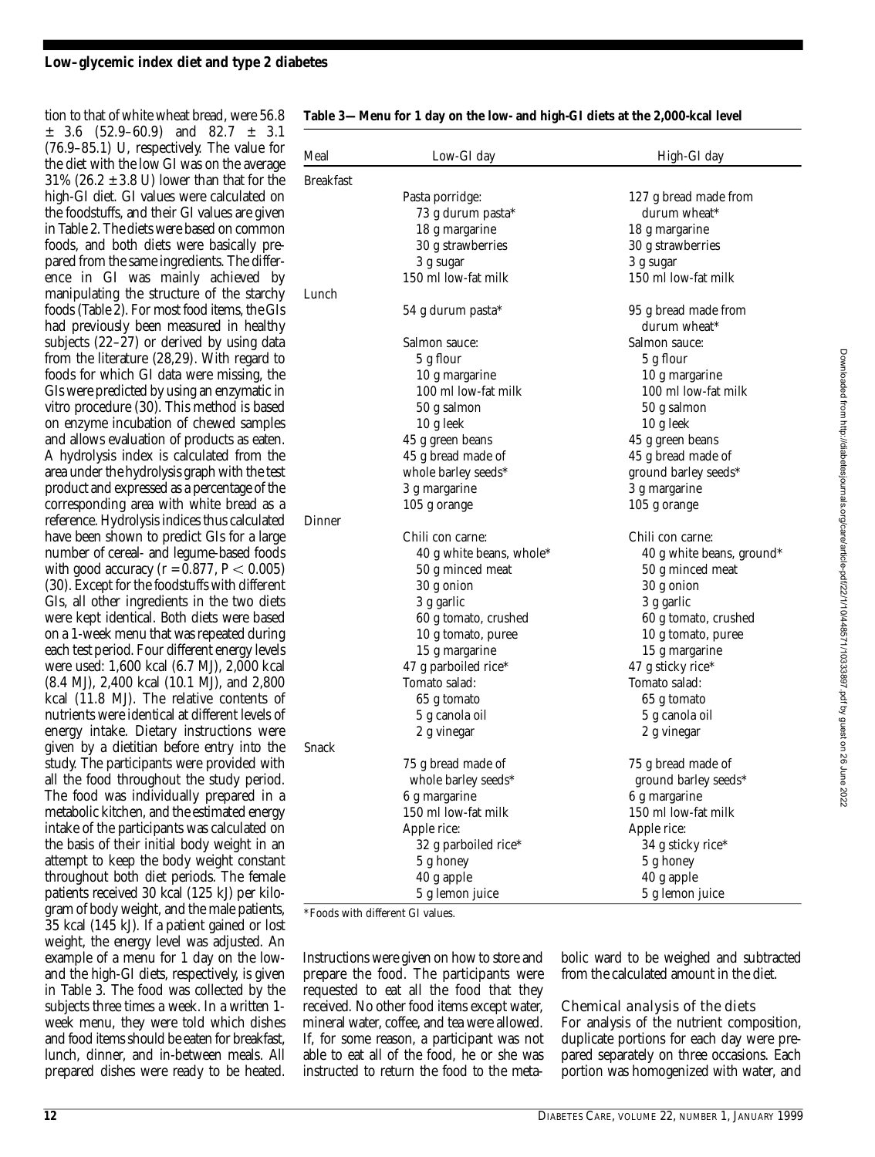#### *Low–glycemic index diet and type 2 diabetes*

tion to that of white wheat bread, were 56.8 ± 3.6 (52.9–60.9) and 82.7 ± 3.1  $(76.9-85.1)$  U, respectively. The value for the diet with the low GI was on the average  $31\%$  (26.2  $\pm$  3.8 U) lower than that for the high-GI diet. GI values were calculated on the foodstuffs, and their GI values are given in Table 2. The diets were based on common foods, and both diets were basically prepared from the same ingredients. The difference in GI was mainly achieved by manipulating the structure of the starchy foods (Table 2). For most food items, the GIs had previously been measured in healthy subjects (22–27) or derived by using data from the literature  $(28,29)$ . With regard to foods for which GI data were missing, the GIs were predicted by using an enzymatic in vitro procedure (30). This method is based on enzyme incubation of chewed samples and allows evaluation of products as eaten. A hydrolysis index is calculated from the area under the hydrolysis graph with the test p roduct and expressed as a percentage of the corresponding area with white bread as a reference. Hydrolysis indices thus calculated have been shown to predict GIs for a large number of cereal- and legume-based foods with good accuracy  $(r = 0.877, P \le 0.005)$ (30). Except for the foodstuffs with different GIs, all other ingredients in the two diets were kept identical. Both diets were based on a 1-week menu that was repeated during each test period. Four different energy levels were used: 1,600 kcal (6.7 MJ), 2,000 kcal (8.4 MJ), 2,400 kcal (10.1 MJ), and 2,800 kcal (11.8 MJ). The relative contents of nutrients were identical at different levels of energy intake. Dietary instructions were given by a dietitian before entry into the study. The participants were provided with all the food throughout the study period. The food was individually prepared in a metabolic kitchen, and the estimated energy intake of the participants was calculated on the basis of their initial body weight in an attempt to keep the body weight constant throughout both diet periods. The female patients received 30 kcal (125 kJ) per kilogram of body weight, and the male patients, 35 kcal (145 kJ). If a patient gained or lost weight, the energy level was adjusted. An example of a menu for 1 day on the lowand the high-GI diets, respectively, is given in Table 3. The food was collected by the subjects three times a week. In a written 1 week menu, they were told which dishes and food items should be eaten for breakfast, lunch, dinner, and in-between meals. All prepared dishes were ready to be heated.

|  |  | Table 3-Menu for 1 day on the low- and high-GI diets at the 2,000-kcal level |  |
|--|--|------------------------------------------------------------------------------|--|
|--|--|------------------------------------------------------------------------------|--|

| Meal             | Low-GI day               | High-GI day               |
|------------------|--------------------------|---------------------------|
| <b>Breakfast</b> |                          |                           |
|                  | Pasta porridge:          | 127 g bread made from     |
|                  | 73 g durum pasta*        | durum wheat*              |
|                  | 18 g margarine           | 18 g margarine            |
|                  | 30 g strawberries        | 30 g strawberries         |
|                  | 3 g sugar                | 3 g sugar                 |
|                  | 150 ml low-fat milk      | 150 ml low-fat milk       |
| Lunch            |                          |                           |
|                  | 54 g durum pasta*        | 95 g bread made from      |
|                  |                          | durum wheat*              |
|                  | Salmon sauce:            | Salmon sauce:             |
|                  | 5 g flour                | 5 g flour                 |
|                  | 10 g margarine           | 10 g margarine            |
|                  | 100 ml low-fat milk      | 100 ml low-fat milk       |
|                  | 50 g salmon              | 50 g salmon               |
|                  | 10 g leek                | 10 g leek                 |
|                  | 45 g green beans         | 45 g green beans          |
|                  | 45 g bread made of       | 45 g bread made of        |
|                  | whole barley seeds*      | ground barley seeds*      |
|                  | 3 g margarine            | 3 g margarine             |
|                  | 105 g orange             | 105 g orange              |
| Dinner           |                          |                           |
|                  | Chili con carne:         | Chili con carne:          |
|                  | 40 g white beans, whole* | 40 g white beans, ground* |
|                  | 50 g minced meat         | 50 g minced meat          |
|                  | 30 g onion               | 30 g onion                |
|                  | 3 g garlic               | 3 g garlic                |
|                  | 60 g tomato, crushed     | 60 g tomato, crushed      |
|                  | 10 g tomato, puree       | 10 g tomato, puree        |
|                  | 15 g margarine           | 15 g margarine            |
|                  | 47 g parboiled rice*     | 47 g sticky rice*         |
|                  | Tomato salad:            | Tomato salad:             |
|                  | 65 g tomato              | 65 g tomato               |
|                  | 5 g canola oil           | 5 g canola oil            |
|                  | 2 g vinegar              | 2 g vinegar               |
| Snack            |                          |                           |
|                  | 75 g bread made of       | 75 g bread made of        |
|                  | whole barley seeds*      | ground barley seeds*      |
|                  | 6 g margarine            | 6 g margarine             |
|                  | 150 ml low-fat milk      | 150 ml low-fat milk       |
|                  | Apple rice:              | Apple rice:               |
|                  | 32 g parboiled rice*     | 34 g sticky rice*         |
|                  | 5 g honey                | 5 g honey                 |
|                  | 40 g apple               | 40 g apple                |
|                  | 5 g lemon juice          | 5 g lemon juice           |
|                  |                          |                           |

\*Foods with different GI values.

Instructions were given on how to store and prepare the food. The participants were requested to eat all the food that they received. No other food items except water, mineral water, coffee, and tea were allowed. If, for some reason, a participant was not able to eat all of the food, he or she was instructed to return the food to the metabolic ward to be weighed and subtracted from the calculated amount in the diet.

#### Chemical analysis of the diets

For analysis of the nutrient composition, duplicate portions for each day were prepared separately on three occasions. Each portion was homogenized with water, and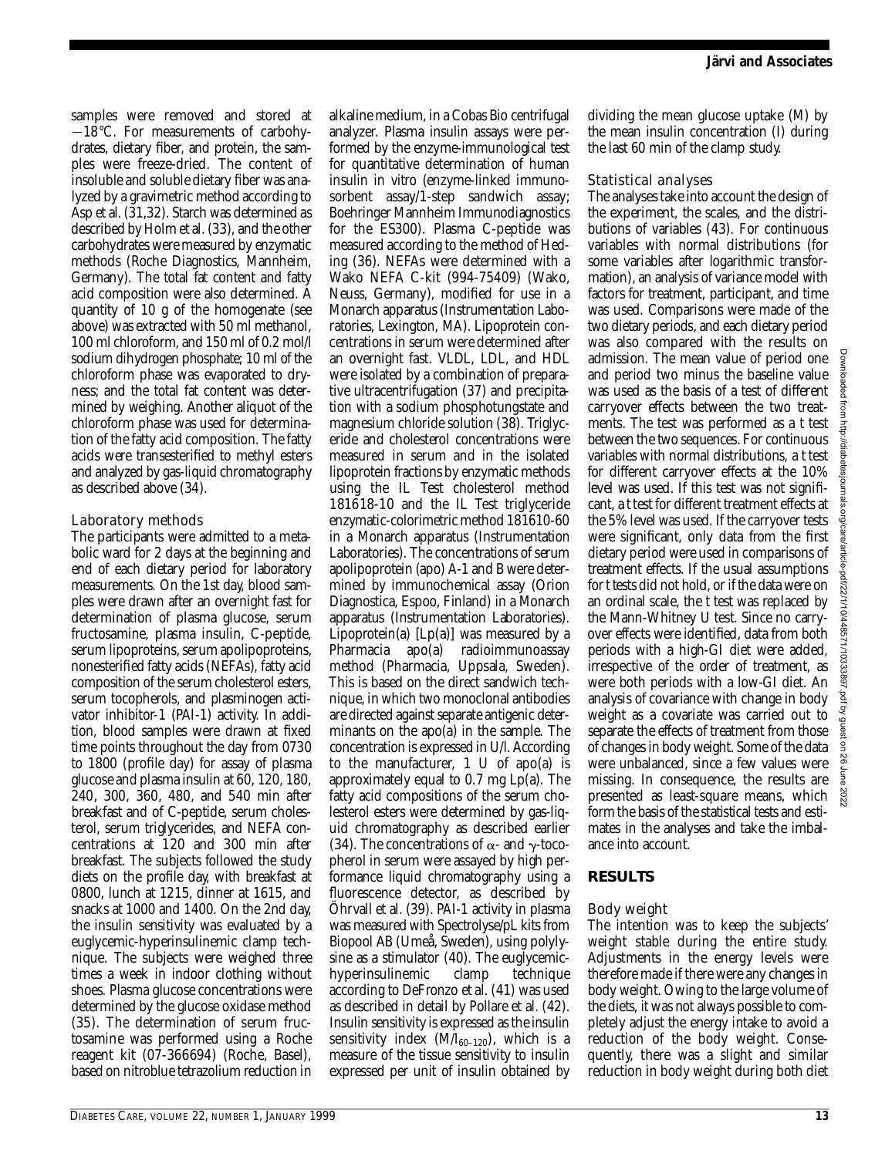samples were removed and stored at  $-18$ °C. For measurements of carbohydrates, dietary fiber, and protein, the samples were freeze-dried. The content of insoluble and soluble dietary fiber was analyzed by a gravimetric method according to Asp et al. (31,32). Starch was determined as described by Holm et al. (33), and the other carbohydrates were measured by enzymatic methods (Roche Diagnostics, Mannheim, Germany). The total fat content and fatty acid composition were also determined. A quantity of 10 g of the homogenate (see above) was extracted with 50 ml methanol, 100 ml chloroform, and 150 ml of 0.2 mol/l sodium dihydrogen phosphate; 10 ml of the chloroform phase was evaporated to dryness; and the total fat content was determined by weighing. Another aliquot of the chloroform phase was used for determination of the fatty acid composition. The fatty acids were transesterified to methyl esters and analyzed by gas-liquid chromatography as described above (34).

# Laboratory methods

The participants were admitted to a metabolic ward for 2 days at the beginning and end of each dietary period for laboratory measurements. On the 1st day, blood samples were drawn after an overnight fast for determination of plasma glucose, serum fructosamine, plasma insulin, C-peptide, serum lipoproteins, serum apolipoproteins, n one sterified fatty acids (NEFAs), fatty acid composition of the serum cholesterol esters, serum tocopherols, and plasminogen activator inhibitor-1 (PAI-1) activity. In addition, blood samples were drawn at fixed time points throughout the day from 0730 to 1800 (profile day) for assay of plasma glucose and plasma insulin at 60, 120, 180, 240, 300, 360, 480, and 540 min after breakfast and of C-peptide, serum cholesterol, serum triglycerides, and NEFA concentrations at 120 and 300 min after breakfast. The subjects followed the study diets on the profile day, with breakfast at 0800, lunch at 1215, dinner at 1615, and snacks at 1000 and 1400. On the 2nd day, the insulin sensitivity was evaluated by a euglycemic-hyperinsulinemic clamp technique. The subjects were weighed three times a week in indoor clothing without shoes. Plasma glucose concentrations were determined by the glucose oxidase method  $(35)$ . The determination of serum fructosamine was performed using a Roche reagent kit (07-366694) (Roche, Basel), based on nitroblue tetrazolium reduction in

alkaline medium, in a Cobas Bio centrifugal analyzer. Plasma insulin assays were performed by the enzyme-immunological test for quantitative determination of human insulin in vitro (enzyme-linked immunosorbent assay/1-step sandwich assay; Boehringer Mannheim Immunodiagnostics for the ES300). Plasma C-peptide was measured according to the method of Heding (36). NEFAs were determined with a Wako NEFA C-kit (994-75409) (Wako, Neuss, Germany), modified for use in a Monarch apparatus (Instrumentation Laboratories, Lexington, MA). Lipoprotein concentrations in serum were determined after an overnight fast. VLDL, LDL, and HDL were isolated by a combination of preparative ultracentrifugation (37) and precipitation with a sodium phosphotungstate and magnesium chloride solution (38). Triglyceride and cholesterol concentrations were measured in serum and in the isolated lipoprotein fractions by enzymatic methods using the IL Test cholesterol method 181618-10 and the IL Test triglyceride enzymatic-colorimetric method 181610-60 in a Monarch apparatus (Instrumentation Laboratories). The concentrations of serum apolipoprotein (apo) A-1 and B were determined by immunochemical assay (Orion Diagnostica, Espoo, Finland) in a Monarch apparatus (Instrumentation Laboratories). Lipoprotein(a)  $[Lp(a)]$  was measured by a Pharmacia apo(a) radioimmunoassay method (Pharmacia, Uppsala, Sweden). This is based on the direct sandwich technique, in which two monoclonal antibodies are directed against separate antigenic determinants on the apo(a) in the sample. The concentration is expressed in U/l. According to the manufacturer,  $1 \text{ U}$  of apo(a) is approximately equal to  $0.7$  mg  $Lp(a)$ . The fatty acid compositions of the serum cholesterol esters were determined by gas-liquid chromatography as described earlier (34). The concentrations of  $\alpha$ - and  $\gamma$ -tocopherol in serum were assayed by high performance liquid chromatography using a fluorescence detector, as described by Öhrvall et al. (39). PAI-1 activity in plasma was measured with Spectrolyse/pL kits from Biopool AB (Umeå, Sweden), using polylysine as a stimulator (40). The euglycemichyperinsulinemic clamp technique according to DeFronzo et al.  $(41)$  was used as described in detail by Pollare et al. (42). Insulin sensitivity is expressed as the insulin sensitivity index  $(M/I_{60-120})$ , which is a measure of the tissue sensitivity to insulin expressed per unit of insulin obtained by

dividing the mean glucose uptake (*M*) by the mean insulin concentration (*I*) during the last 60 min of the clamp study.

## Statistical analyses

The analyses take into account the design of the experiment, the scales, and the distributions of variables (43). For continuous variables with normal distributions (for some variables after logarithmic transformation), an analysis of variance model with factors for treatment, participant, and time was used. Comparisons were made of the two dietary periods, and each dietary period was also compared with the results on admission. The mean value of period one and period two minus the baseline value was used as the basis of a test of different carryover effects between the two treatments. The test was performed as a *t* test between the two sequences. For continuous variables with normal distributions, a *t* test for different carryover effects at the 10% level was used. If this test was not significant, a *t* test for different treatment effects at the 5% level was used. If the carryover tests were significant, only data from the first dietary period were used in comparisons of treatment effects. If the usual assumptions for *t* tests did not hold, or if the data were on an ordinal scale, the *t* test was replaced by the Mann-Whitney *U* test. Since no carryover effects were identified, data from both periods with a high-GI diet were added, irrespective of the order of treatment, as were both periods with a low-GI diet. An analysis of covariance with change in body weight as a covariate was carried out to separate the effects of treatment from those of changes in body weight. Some of the data were unbalanced, since a few values were missing. In consequence, the results are p resented as least-square means, which form the basis of the statistical tests and estimates in the analyses and take the imbalance into account.

## **RESULTS**

# Body weight

The intention was to keep the subjects' weight stable during the entire study. Adjustments in the energy levels were therefore made if there were any changes in body weight. Owing to the large volume of the diets, it was not always possible to completely adjust the energy intake to avoid a reduction of the body weight. Consequently, there was a slight and similar reduction in body weight during both diet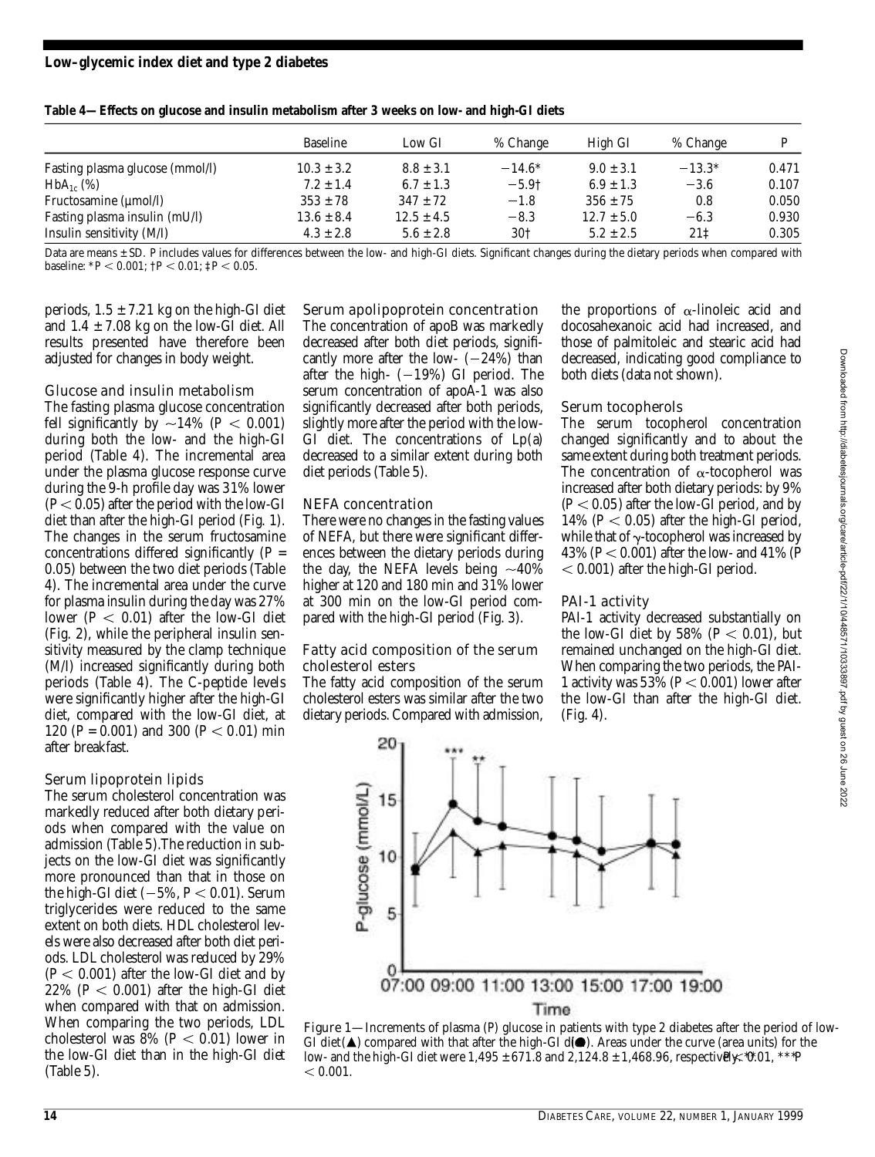|                                   | <b>Baseline</b> | Low GI         | % Change            | High GI        | % Change |       |
|-----------------------------------|-----------------|----------------|---------------------|----------------|----------|-------|
| Fasting plasma glucose (mmol/l)   | $10.3 \pm 3.2$  | $8.8 \pm 3.1$  | $-14.6*$            | $9.0 \pm 3.1$  | $-13.3*$ | 0.471 |
| $HbA_{1c}$ (%)                    | $7.2 \pm 1.4$   | $6.7 \pm 1.3$  | $-5.9$ <sup>+</sup> | $6.9 \pm 1.3$  | $-3.6$   | 0.107 |
| Fructosamine $(\mu \text{mol/l})$ | $353 \pm 78$    | $347 \pm 72$   | $-1.8$              | $356 \pm 75$   | 0.8      | 0.050 |
| Fasting plasma insulin (mU/l)     | $13.6 \pm 8.4$  | $12.5 \pm 4.5$ | $-8.3$              | $12.7 \pm 5.0$ | $-6.3$   | 0.930 |
| Insulin sensitivity $(M/I)$       | $4.3 \pm 2.8$   | $5.6 \pm 2.8$  | 30†                 | $5.2 \pm 2.5$  | 21‡      | 0.305 |

**Table 4—***Effects on glucose and insulin metabolism after 3 weeks on low- and high-GI diets*

Data are means ± SD. P includes values for differences between the low- and high-GI diets. Significant changes during the dietary periods when compared with baseline:  $*P < 0.001$ ;  $\uparrow P < 0.01$ ;  $\uparrow P < 0.05$ .

periods,  $1.5 \pm 7.21$  kg on the high-GI diet and  $1.4 \pm 7.08$  kg on the low-GI diet. All results presented have therefore been adjusted for changes in body weight.

#### Glucose and insulin metabolism

The fasting plasma glucose concentration fell significantly by  $\sim$  14% ( $P < 0.001$ ) during both the low- and the high-GI period (Table 4). The incremental area under the plasma glucose response curve during the 9-h profile day was 31% lower  $(P< 0.05)$  after the period with the low-GI diet than after the high-GI period (Fig. 1). The changes in the serum fructosamine concentrations differed significantly  $(P =$ 0.05) between the two diet periods (Table 4). The incremental area under the curve for plasma insulin during the day was 27% lower ( $P < 0.01$ ) after the low-GI diet (Fig. 2), while the peripheral insulin sensitivity measured by the clamp technique (*M*/*I*) increased significantly during both periods (Table 4). The C-peptide levels were significantly higher after the high-GI diet, compared with the low-GI diet, at 120 ( $P = 0.001$ ) and 300 ( $P < 0.01$ ) min after breakfast.

## Serum lipoprotein lipids

The serum cholesterol concentration was markedly reduced after both dietary periods when compared with the value on admission (Table 5).The reduction in subjects on the low-GI diet was significantly more pronounced than that in those on the high-GI diet  $(-5\%, P < 0.01)$ . Serum triglycerides were reduced to the same extent on both diets. HDL cholesterol levels were also decreased after both diet periods. LDL cholesterol was reduced by 29%  $(P < 0.001)$  after the low-GI diet and by 22%  $(P < 0.001)$  after the high-GI diet when compared with that on admission. When comparing the two periods, LDL cholesterol was  $8\%$  ( $P < 0.01$ ) lower in the low-GI diet than in the high-GI diet ( Table 5).

Serum apolipoprotein concentration The concentration of apoB was markedly decreased after both diet periods, significantly more after the low- $(-24%)$  than after the high-  $(-19%)$  GI period. The serum concentration of apoA-1 was also significantly decreased after both periods, slightly more after the period with the low-GI diet. The concentrations of Lp(a) decreased to a similar extent during both diet periods (Table 5).

## NEFA concentration

There were no changes in the fasting values of NEFA, but there were significant differences between the dietary periods during the day, the NEFA levels being  $~10\%$ higher at 120 and 180 min and 31% lower at 300 min on the low-GI period compared with the high-GI period (Fig. 3).

#### Fatty acid composition of the serum cholesterol esters

The fatty acid composition of the serum cholesterol esters was similar after the two dietary periods. Compared with admission, the proportions of  $\alpha$ -linoleic acid and docosahexanoic acid had increased, and those of palmitoleic and stearic acid had decreased, indicating good compliance to both diets (data not shown).

# Serum tocopherols

The serum tocopherol concentration changed significantly and to about the same extent during both treatment periods. The concentration of  $\alpha$ -tocopherol was increased after both dietary periods: by 9%  $(P < 0.05)$  after the low-GI period, and by 14%  $(P < 0.05)$  after the high-GI period, while that of  $\gamma$ -tocopherol was increased by 43% ( $P < 0.001$ ) after the low- and 41% ( $P$  $<$  0.001) after the high-GI period.

## PAI-1 activity

PAI-1 activity decreased substantially on the low-GI diet by 58%  $(P < 0.01)$ , but remained unchanged on the high-GI diet. When comparing the two periods, the PAI-1 activity was 53% ( $P < 0.001$ ) lower after the low-GI than after the high-GI diet. (Fig. 4).



Figure 1—*Increments of plasma (P) glucose in patients with type 2 diabetes after the period of low-GI* diet ( $\triangle$ ) *compared with that after the high-GI* d( $\triangle$ ). Areas under the curve (area units) for the *low- and the high-GI diet were 1,495 ± 671.8 and 2,124.8 ± 1,468.96, respectively.*  $\mathfrak{C}$  *01, \*\** P  $< 0.001$ .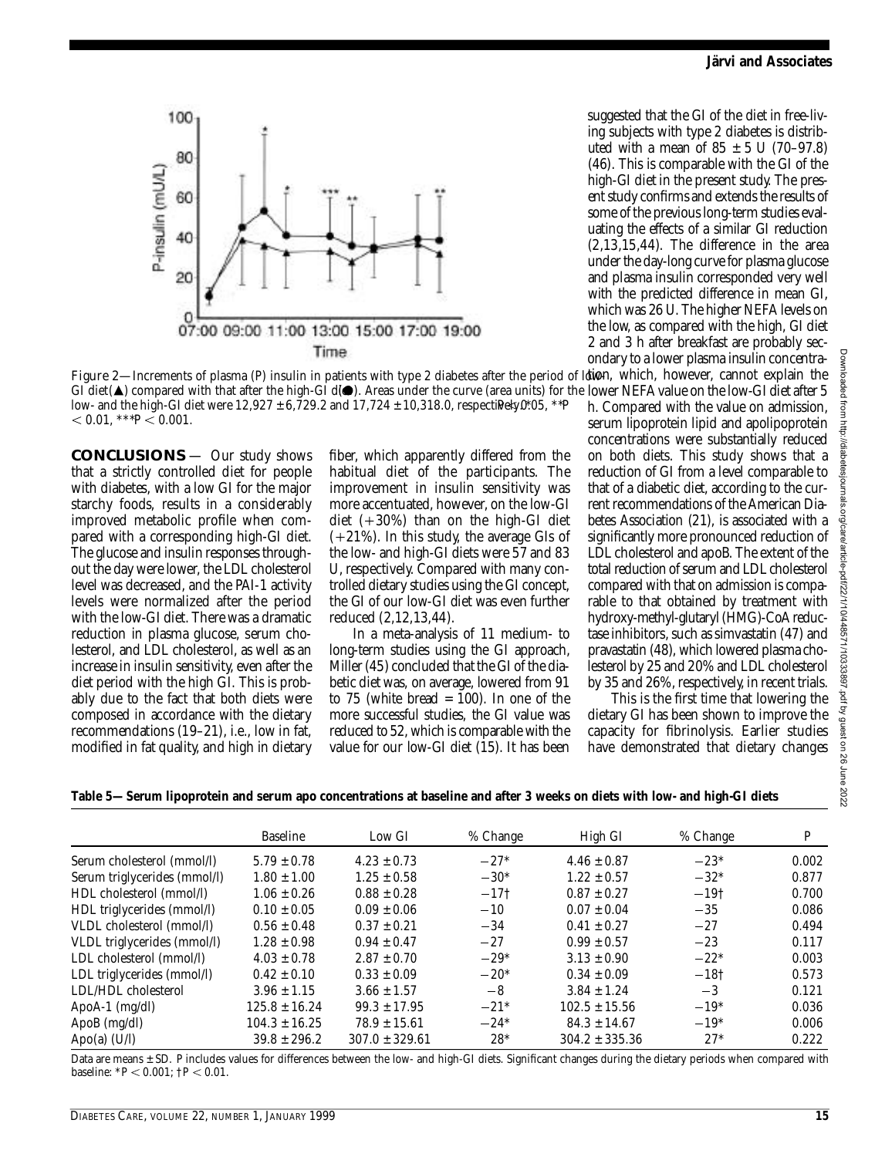

**Figure 2—***Increments of plasma (P) insulin in patients with type 2 diabetes after the period of louen, which, however, cannot explain the GI diet* ( $\blacktriangle$ ) *compared with that after the high-GI d*( $\blacktriangle$ )*. Areas under the curve (area units) for the lower NEFA value on the low-GI diet after 5 low- and the high-GI diet were 12,927 ± 6,729.2 and 17,724 ± 10,318.0, respectively.0.05, \*\**P  $<$  0.01, \*\*\* $P \le 0.001$ .

**CONCLUSIONS** — Our study shows that a strictly controlled diet for people with diabetes, with a low GI for the major starchy foods, results in a considerably improved metabolic profile when compared with a corresponding high-GI diet. The glucose and insulin responses throughout the day were lower, the LDL cholesterol level was decreased, and the PAI-1 activity levels were normalized after the period with the low-GI diet. There was a dramatic reduction in plasma glucose, serum cholesterol, and LDL cholesterol, as well as an increase in insulin sensitivity, even after the diet period with the high GI. This is probably due to the fact that both diets were composed in accordance with the dietary recommendations (19–21), i.e., low in fat, mo dified in fat quality, and high in dietary

fiber, which apparently differed from the habitual diet of the participants. The improvement in insulin sensitivity was more accentuated, however, on the low-GI diet  $(+30%)$  than on the high-GI diet  $(+21%)$ . In this study, the average GIs of the low- and high-GI diets were 57 and 83 U, respectively. Compared with many cont rolled dietary studies using the GI concept, the GI of our low-GI diet was even further reduced (2,12,13,44).

In a meta-analysis of 11 medium- to long-term studies using the GI approach, Miller (45) concluded that the GI of the diabetic diet was, on average, lowered from 91 to 75 (white bread  $=$  100). In one of the more successful studies, the GI value was reduced to 52, which is comparable with the value for our low-GI diet (15). It has been

suggested that the GI of the diet in free-living subjects with type 2 diabetes is distributed with a mean of  $85 \pm 5$  U (70–97.8) (46). This is comparable with the GI of the high-GI diet in the present study. The present study confirms and extends the results of some of the previous long-term studies evaluating the effects of a similar GI reduction  $(2,13,15,44)$ . The difference in the area under the day-long curve for plasma glucose and plasma insulin corresponded very well with the predicted difference in mean GI, which was 26 U. The higher NEFA levels on the low, as compared with the high, GI diet 2 and 3 h after breakfast are probably secondary to a lower plasma insulin concentra-

h. Compared with the value on admission, serum lipoprotein lipid and apolipoprotein concentrations were substantially reduced on both diets. This study shows that a reduction of GI from a level comparable to that of a diabetic diet, according to the current recommendations of the American Diabetes Association (21), is associated with a significantly more pronounced reduction of LDL cholesterol and apoB. The extent of the total reduction of serum and LDL cholesterol compared with that on admission is comparable to that obtained by treatment with hydroxy-methyl-glutaryl (HMG)-CoA reductase inhibitors, such as simvastatin  $(47)$  and pravastatin (48), which lowered plasma cholesterol by 25 and 20% and LDL cholesterol by 35 and 26%, respectively, in recent trials.

This is the first time that lowering the dietary GI has been shown to improve the capacity for fibrinolysis. Earlier studies have demonstrated that dietary changes

**Table 5—***Serum lipoprotein and serum apo concentrations at baseline and after 3 weeks on diets with low- and high-GI diets*

|                              | Baseline          | Low GI             | % Change           | High GI            | % Change           | P     |
|------------------------------|-------------------|--------------------|--------------------|--------------------|--------------------|-------|
| Serum cholesterol (mmol/l)   | $5.79 \pm 0.78$   | $4.23 \pm 0.73$    | $-27*$             | $4.46 \pm 0.87$    | $-23*$             | 0.002 |
| Serum triglycerides (mmol/l) | $1.80 \pm 1.00$   | $1.25 \pm 0.58$    | $-30*$             | $1.22 \pm 0.57$    | $-32*$             | 0.877 |
| HDL cholesterol (mmol/l)     | $1.06 \pm 0.26$   | $0.88 \pm 0.28$    | $-17$ <sup>+</sup> | $0.87 \pm 0.27$    | $-19†$             | 0.700 |
| HDL triglycerides (mmol/l)   | $0.10 \pm 0.05$   | $0.09 \pm 0.06$    | $-10$              | $0.07 \pm 0.04$    | $-35$              | 0.086 |
| VLDL cholesterol (mmol/l)    | $0.56 \pm 0.48$   | $0.37 \pm 0.21$    | $-34$              | $0.41 \pm 0.27$    | $-27$              | 0.494 |
| VLDL triglycerides (mmol/l)  | $1.28 \pm 0.98$   | $0.94 \pm 0.47$    | $-27$              | $0.99 \pm 0.57$    | $-23$              | 0.117 |
| LDL cholesterol (mmol/l)     | $4.03 \pm 0.78$   | $2.87 \pm 0.70$    | $-29*$             | $3.13 \pm 0.90$    | $-22*$             | 0.003 |
| LDL triglycerides (mmol/l)   | $0.42 \pm 0.10$   | $0.33 \pm 0.09$    | $-20*$             | $0.34 \pm 0.09$    | $-18$ <sup>†</sup> | 0.573 |
| LDL/HDL cholesterol          | $3.96 \pm 1.15$   | $3.66 \pm 1.57$    | -8                 | $3.84 \pm 1.24$    | $-3$               | 0.121 |
| Apo $A-1$ (mg/dl)            | $125.8 \pm 16.24$ | $99.3 \pm 17.95$   | $-21*$             | $102.5 \pm 15.56$  | $-19*$             | 0.036 |
| ApoB $(mg/dl)$               | $104.3 \pm 16.25$ | $78.9 \pm 15.61$   | $-24*$             | $84.3 \pm 14.67$   | $-19*$             | 0.006 |
| Apo(a) $(U/I)$               | $39.8 \pm 296.2$  | $307.0 \pm 329.61$ | $28*$              | $304.2 \pm 335.36$ | $27*$              | 0.222 |
|                              |                   |                    |                    |                    |                    |       |

Data are means ± SD. P includes values for differences between the low- and high-GI diets. Significant changes during the dietary periods when compared with baseline:  $*P < 0.001$ ;  $\dagger P < 0.01$ .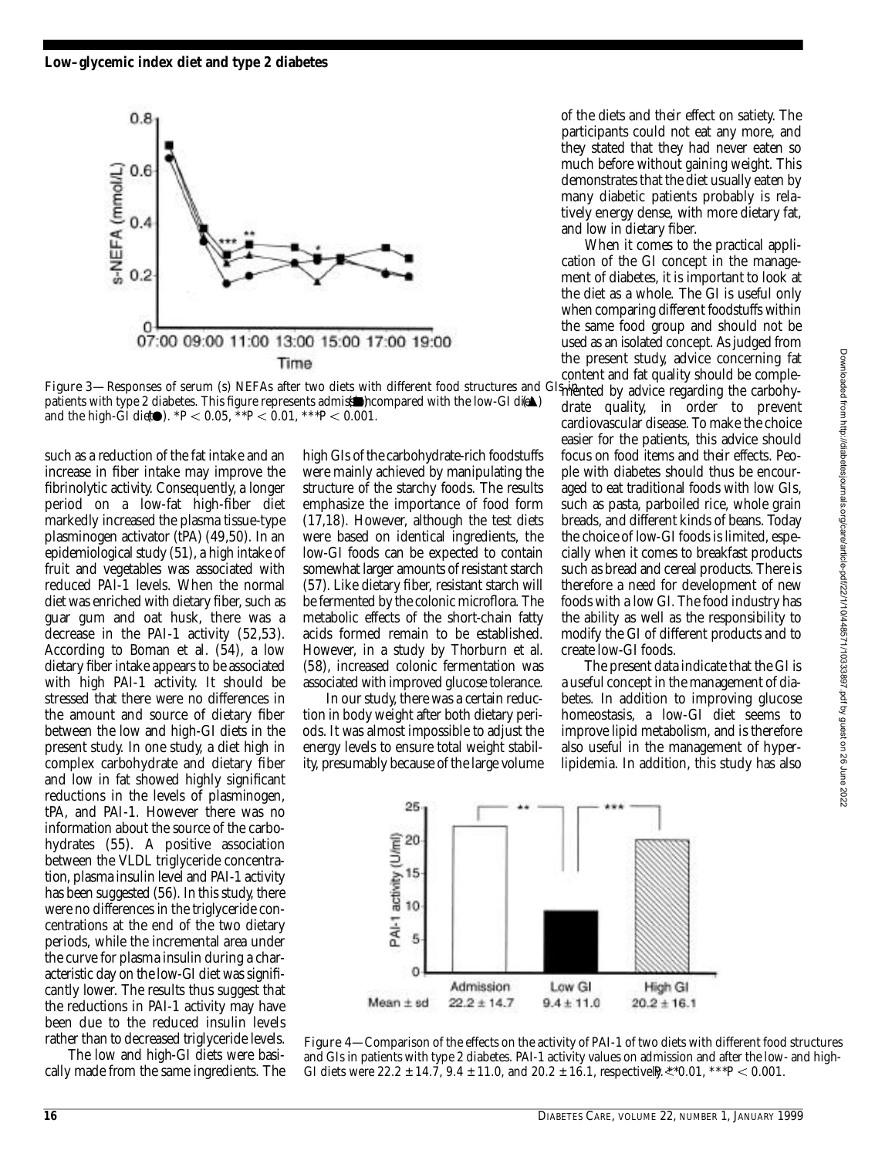

Figure 3-Responses of serum (s) NEFAs after two diets with different food structures and G *patients with type 2 diabetes. This figure represents admissimicompared with the low-GI diet* and the high-GI die $($   $)$ . \*P < 0.05, \*P < 0.01, \*\*P < 0.001.

such as a reduction of the fat intake and an increase in fiber intake may improve the fibrinolytic activity. Consequently, a longer period on a low-fat high-fiber diet markedly increased the plasma tissue-type plasminogen activator (tPA) (49,50). In an epidemiological study (51), a high intake of fruit and vegetables was associated with reduced PAI-1 levels. When the normal diet was enriched with dietary fiber, such as guar gum and oat husk, there was a decrease in the PAI-1 activity  $(52,53)$ . According to Boman et al.  $(54)$ , a low dietary fiber intake appears to be associated with high PAI-1 activity. It should be stressed that there were no differences in the amount and source of dietary fiber between the low and high-GI diets in the p resent study. In one study, a diet high in complex carbohydrate and dietary fiber and low in fat showed highly significant reductions in the levels of plasminogen, tPA, and PAI-1. However there was no information about the source of the carbohydrates (55). A positive association between the VLDL triglyceride concentration, plasma insulin level and PAI-1 activity has been suggested (56). In this study, there were no differences in the triglyceride concentrations at the end of the two dietary periods, while the incremental area under the curve for plasma insulin during a characteristic day on the low-GI diet was significantly lower. The results thus suggest that the reductions in PAI-1 activity may have been due to the reduced insulin levels rather than to decreased triglyceride levels.

The low and high-GI diets were basically made from the same ingredients. The

high GIs of the carbohydrate-rich foodstuffs were mainly achieved by manipulating the structure of the starchy foods. The results emphasize the importance of food form (17,18). However, although the test diets were based on identical ingredients, the low-GI foods can be expected to contain somewhat larger amounts of resistant starch (57). Like dietary fiber, resistant starch will be fermented by the colonic microflora. The metabolic effects of the short-chain fatty acids formed remain to be established. However, in a study by Thorburn et al. (58), increased colonic fermentation was associated with improved glucose tolerance.

In our study, there was a certain reduction in body weight after both dietary periods. It was almost impossible to adjust the energy levels to ensure total weight stability, presumably because of the large volume

of the diets and their effect on satiety. The participants could not eat any more, and they stated that they had never eaten so much before without gaining weight. This demonstrates that the diet usually eaten by many diabetic patients probably is relatively energy dense, with more dietary fat, and low in dietary fiber.

When it comes to the practical application of the GI concept in the management of diabetes, it is important to look at the diet as a whole. The GI is useful only when comparing different foodstuffs within the same food group and should not be used as an isolated concept. As judged from the present study, advice concerning fat content and fat quality should be comple-<sup>Is</sup> inted by advice regarding the carbohydrate quality, in order to prevent cardiovascular disease. To make the choice easier for the patients, this advice should focus on food items and their effects. People with diabetes should thus be encouraged to eat traditional foods with low GIs, such as pasta, parboiled rice, whole grain breads, and different kinds of beans. Today the choice of low-GI foods is limited, especially when it comes to breakfast products such as bread and cereal products. There is therefore a need for development of new foods with a low GI. The food industry has the ability as well as the responsibility to modify the GI of different products and to create low-GI foods.

The present data indicate that the GI is a useful concept in the management of diabetes. In addition to improving glucose homeostasis, a low-GI diet seems to improve lipid metabolism, and is therefore also useful in the management of hyperlipidemia. In addition, this study has also



Figure 4—*Comparison of the effects on the activity of PAI-1 of two diets with different food structures* and GIs in patients with type 2 diabetes. PAI-1 activity values on admission and after the low- and high-<br>GI diets were  $22.2 \pm 14.7$ ,  $9.4 \pm 11.0$ , and  $20.2 \pm 16.1$ , respectively  $\ll 0.01$ ,  $\ell^* \ll 0.001$ .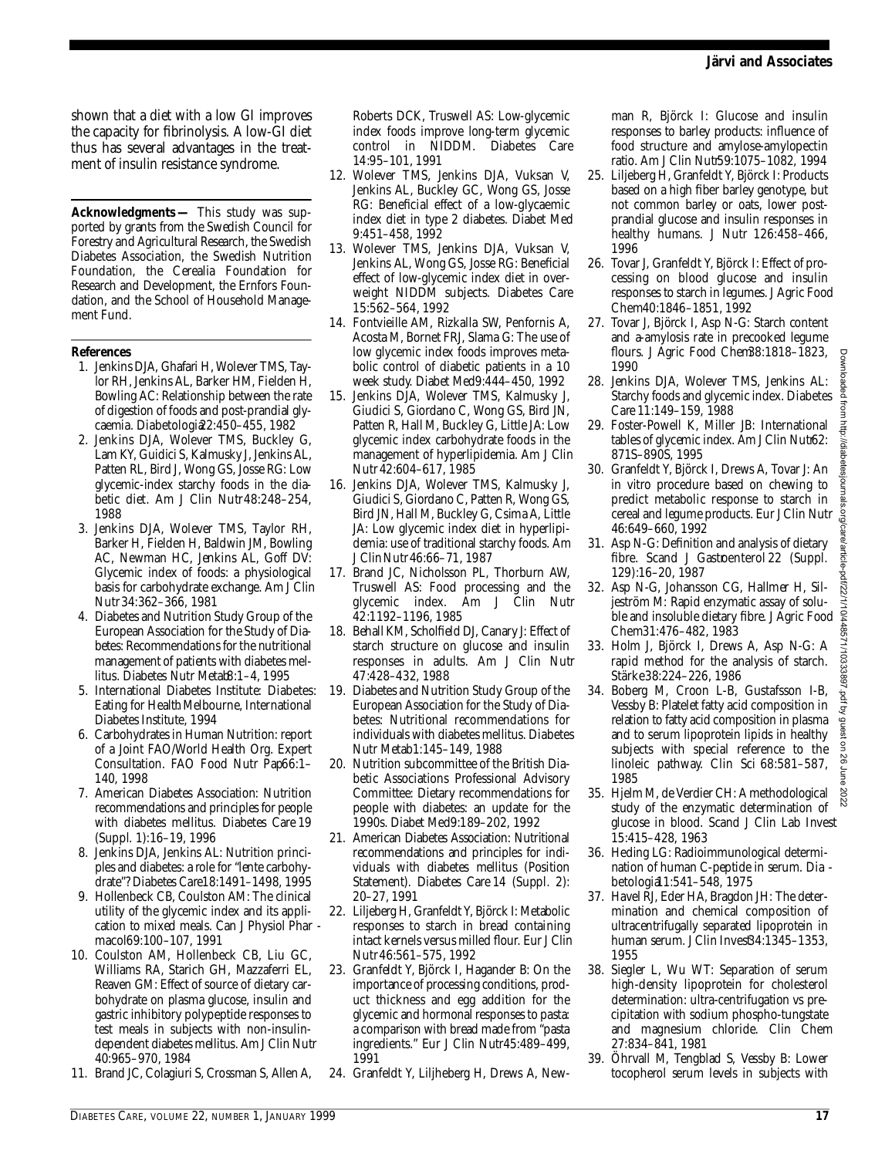shown that a diet with a low GI improves the capacity for fibrinolysis. A low-GI diet thus has several advantages in the treatment of insulin resistance syndrome.

**Acknowledgments** - This study was supported by grants from the Swedish Council for Forestry and Agricultural Research, the Swedish Diabetes Association, the Swedish Nutrition Foundation, the Cerealia Foundation for Research and Development, the Ernfors Foundation, and the School of Household Management Fund.

#### **References**

- 1. Jenkins DJA, Ghafari H, Wolever TMS, Taylor RH, Jenkins AL, Barker HM, Fielden H, Bowling AC: Relationship between the rate of digestion of foods and post-prandial glycaemia. *D i a b e t o l o g i a*22:450–455, 1982
- 2 . Jenkins DJA, Wolever TMS, Buckley G, Lam KY, Guidici S, Kalmusky J, Jenkins AL, Patten RL, Bird J, Wong GS, Josse RG: Low glycemic-index starchy foods in the diabetic diet. Am J Clin Nutr48:248-254, 1988
- 3 . Jenkins DJA, Wolever TMS, Taylor RH, Barker H, Fielden H, Baldwin JM, Bowling AC, Newman HC, Jenkins AL, Goff DV: Glycemic index of foods: a physiological basis for carbohydrate exchange. *Am J Clin N u t r*34:362–366, 1981
- 4 . Diabetes and Nutrition Study Group of the European Association for the Study of Diabetes: Recommendations for the nutritional management of patients with diabetes mellitus. *Diabetes Nutr Metab*8:1–4, 1995
- 5. International Diabetes Institute: Diabetes: *Eating for Health* Melbourne, International Diabetes Institute, 1994
- 6. Carbohydrates in Human Nutrition: report of a Joint FAO/World Health Org. Expert Consultation. *FAO Food Nutr Pap*66:1-140, 1998
- 7 . American Diabetes Association: Nutrition recommendations and principles for people with diabetes mellitus. Diabetes Care 19 (Suppl. 1):16–19, 1996
- 8 . Jenkins DJA, Jenkins AL: Nutrition principles and diabetes: a role for "lente carbohydrate"? *Diabetes Care*18:1491–1498, 1995
- 9. Hollenbeck CB, Coulston AM: The clinical utility of the glycemic index and its application to mixed meals. *Can J Physiol Phar m a c o l*69:100–107, 1991
- 10. Coulston AM, Hollenbeck CB, Liu GC, Williams RA, Starich GH, Mazzaferri EL, Reaven GM: Effect of source of dietary carbohydrate on plasma glucose, insulin and gastric inhibitory polypeptide responses to test meals in subjects with non-insulindependent diabetes mellitus. *Am J Clin Nutr* 40:965–970, 1984
- 1 1 . Brand JC, Colagiuri S, Crossman S, Allen A,

Roberts DCK, Truswell AS: Low-glycemic index foods improve long-term glycemic control in NIDDM. Diabetes Care 14:95–101, 1991

- 12. Wolever TMS, Jenkins DJA, Vuksan V, Jenkins AL, Buckley GC, Wong GS, Josse RG: Beneficial effect of a low-glycaemic index diet in type 2 diabetes. *Diabet Med* 9:451–458, 1992
- 13. Wolever TMS, Jenkins DJA, Vuksan V, Jenkins AL, Wong GS, Josse RG: Beneficial e ffect of low-glycemic index diet in overweight NIDDM subjects. *Diabetes Care* 15:562–564, 1992
- 1 4 . Fontvieille AM, Rizkalla SW, Penfornis A, Acosta M, Bornet FRJ, Slama G: The use of low glycemic index foods improves metabolic control of diabetic patients in a 10 week study. *Diabet Med*9:444–450, 1992
- 15. Jenkins DJA, Wolever TMS, Kalmusky J, Giudici S, Giordano C, Wong GS, Bird JN, Patten R, Hall M, Buckley G, Little JA: Low glycemic index carbohydrate foods in the management of hyperlipidemia. *Am J Clin N u t r*42:604–617, 1985
- 16. Jenkins DJA, Wolever TMS, Kalmusky J, Giudici S, Giordano C, Patten R, Wong GS, Bird JN, Hall M, Buckley G, Csima A, Little JA: Low glycemic index diet in hyperlipidemia: use of traditional starchy foods. Am *J ClinN u t r*46:66–71, 1987
- 17. Brand JC, Nicholsson PL, Thorburn AW, Truswell AS: Food processing and the glycemic index. *Am J Clin Nutr* 42:1192–1196, 1985
- 18. Behall KM, Scholfield DJ, Canary J: Effect of starch structure on glucose and insulin responses in adults. *Am J Clin Nutr* 47:428–432, 1988
- 19. Diabetes and Nutrition Study Group of the European Association for the Study of Diabetes: Nutritional recommendations for individuals with diabetes mellitus. Diabetes *Nutr Metab*1:145–149, 1988
- 20. Nutrition subcommittee of the British Diabetic Associations Professional Advisory Committee: Dietary recommendations for people with diabetes: an update for the 1990s. *Diabet Med*9:189–202, 1992
- 21. American Diabetes Association: Nutritional recommendations and principles for individuals with diabetes mellitus (Position Statement). *Diabetes Care* 14 (Suppl. 2): 20–27, 1991
- 22. Liljeberg H, Granfeldt Y, Björck I: Metabolic responses to starch in bread containing intact kernels versus milled flour. *Eur J Clin N u t r*46:561–575, 1992
- 23. Granfeldt Y, Björck I, Hagander B: On the importance of processing conditions, product thickness and egg addition for the glycemic and hormonal responses to pasta: a comparison with bread made from "pasta ingredients." *Eur J Clin Nutr*45:489-499, 1991
- 24. Granfeldt Y, Liljheberg H, Drews A, New-

man R, Björck I: Glucose and insulin responses to barley products: influence of food structure and amylose-amylopectin ratio. *Am J Clin Nutr*59:1075–1082, 1994

- 25. Liljeberg H, Granfeldt Y, Björck I: Products based on a high fiber barley genotype, but not common barley or oats, lower postprandial glucose and insulin responses in healthy humans. *J Nutr* 126:458-466, 1996
- 26. Tovar J, Granfeldt Y, Björck I: Effect of processing on blood glucose and insulin responses to starch in legumes. *J Agric Food C h e m*40:1846–1851, 1992
- 27. Tovar J, Björck I, Asp N-G: Starch content and a-amylosis rate in precooked legume flours. *J Agric Food Chem* 8:1818-1823, 1990
- 28. Jenkins DJA, Wolever TMS, Jenkins AL: Starchy foods and glycemic index. *Diabetes C a re* 11:149–159, 1988
- 29. Foster-Powell K, Miller JB: International tables of glycemic index. Am J Clin Nutr62: 871S–890S, 1995
- 3 0 . Granfeldt Y, Björck I, Drews A, Tovar J: An in vitro procedure based on chewing to p redict metabolic response to starch in c e real and legume products. *Eur J Clin Nutr* 46:649–660, 1992
- 31. Asp N-G: Definition and analysis of dietary fibre. *Scand J Gastro enterol* 22 (Suppl. 129):16–20, 1987
- 32. Asp N-G, Johansson CG, Hallmer H, Siljeström M: Rapid enzymatic assay of soluble and insoluble dietary fibre. *J Agric Food C h e m*31:476–482, 1983
- 33. Holm J, Björck I, Drews A, Asp N-G: A rapid method for the analysis of starch. *S t ä r k e*38:224–226, 1986
- 34. Boberg M, Croon L-B, Gustafsson I-B, Vessby B: Platelet fatty acid composition in relation to fatty acid composition in plasma and to serum lipoprotein lipids in healthy subjects with special reference to the linoleic pathway. *Clin Sci* 68:581-587, 1985
- 35. Hjelm M, de Verdier CH: A methodological study of the enzymatic determination of glucose in blood. *Scand J Clin Lab Invest* 15:415–428, 1963
- 36. Heding LG: Radioimmunological determination of human C-peptide in serum. Dia *betologia* 1:541-548, 1975
- 37. Havel RJ, Eder HA, Bragdon JH: The determination and chemical composition of ultracentrifugally separated lipoprotein in human serum. *J Clin Inves* $\beta$ 4:1345-1353, 1955
- 38. Siegler L, Wu WT: Separation of serum high-density lipoprotein for cholesterol determination: ultra-centrifugation vs precipitation with sodium phospho-tungstate and magnesium chloride. *Clin Chem* 27:834–841, 1981
- 39. Öhrvall M, Tengblad S, Vessby B: Lower to copherol serum levels in subjects with